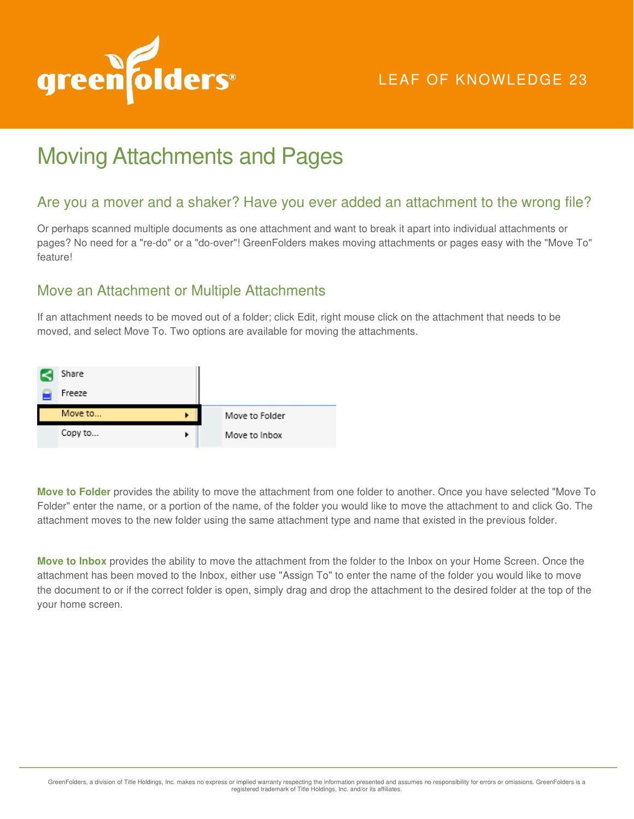

## LEAF OF KNOWLEDGE 23

# Moving Attachments and Pages

#### Are you a mover and a shaker? Have you ever added an attachment to the wrong file?

Or perhaps scanned multiple documents as one attachment and want to break it apart into individual attachments or pages? No need for a "re-do" or a "do-over"! GreenFolders makes moving attachments or pages easy with the "Move To" feature!

#### Move an Attachment or Multiple Attachments

If an attachment needs to be moved out of a folder; click Edit, right mouse click on the attachment that needs to be moved, and select Move To. Two options are available for moving the attachments.



**Move to Folder** provides the ability to move the attachment from one folder to another. Once you have selected "Move To Folder" enter the name, or a portion of the name, of the folder you would like to move the attachment to and click Go. The attachment moves to the new folder using the same attachment type and name that existed in the previous folder.

**Move to Inbox** provides the ability to move the attachment from the folder to the Inbox on your Home Screen. Once the attachment has been moved to the Inbox, either use "Assign To" to enter the name of the folder you would like to move the document to or if the correct folder is open, simply drag and drop the attachment to the desired folder at the top of the your home screen.